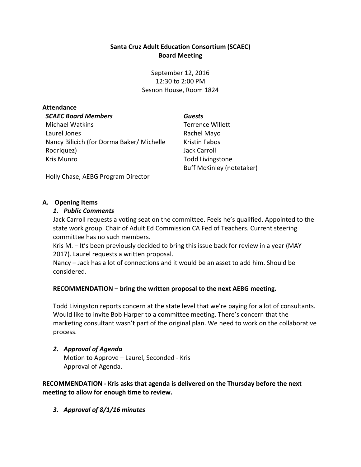## **Santa Cruz Adult Education Consortium (SCAEC) Board Meeting**

September 12, 2016 12:30 to 2:00 PM Sesnon House, Room 1824

#### **Attendance**

#### *SCAEC Board Members*

Michael Watkins Laurel Jones Nancy Bilicich (for Dorma Baker/ Michelle Rodriquez) Kris Munro

*Guests* Terrence Willett Rachel Mayo Kristin Fabos Jack Carroll Todd Livingstone Buff McKinley (notetaker)

Holly Chase, AEBG Program Director

#### **A. Opening Items**

#### *1. Public Comments*

Jack Carroll requests a voting seat on the committee. Feels he's qualified. Appointed to the state work group. Chair of Adult Ed Commission CA Fed of Teachers. Current steering committee has no such members.

Kris M. – It's been previously decided to bring this issue back for review in a year (MAY 2017). Laurel requests a written proposal.

Nancy – Jack has a lot of connections and it would be an asset to add him. Should be considered.

## **RECOMMENDATION – bring the written proposal to the next AEBG meeting.**

Todd Livingston reports concern at the state level that we're paying for a lot of consultants. Would like to invite Bob Harper to a committee meeting. There's concern that the marketing consultant wasn't part of the original plan. We need to work on the collaborative process.

## *2. Approval of Agenda* Motion to Approve – Laurel, Seconded - Kris Approval of Agenda.

**RECOMMENDATION - Kris asks that agenda is delivered on the Thursday before the next meeting to allow for enough time to review.**

*3. Approval of 8/1/16 minutes*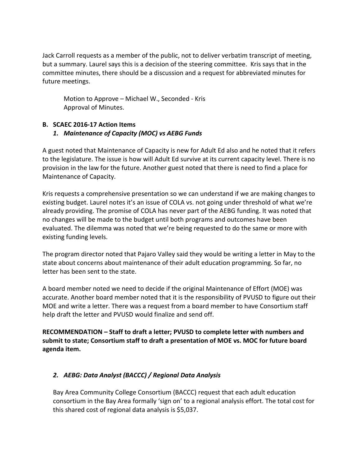Jack Carroll requests as a member of the public, not to deliver verbatim transcript of meeting, but a summary. Laurel says this is a decision of the steering committee. Kris says that in the committee minutes, there should be a discussion and a request for abbreviated minutes for future meetings.

Motion to Approve – Michael W., Seconded - Kris Approval of Minutes.

# **B. SCAEC 2016-17 Action Items** *1. Maintenance of Capacity (MOC) vs AEBG Funds*

A guest noted that Maintenance of Capacity is new for Adult Ed also and he noted that it refers to the legislature. The issue is how will Adult Ed survive at its current capacity level. There is no provision in the law for the future. Another guest noted that there is need to find a place for Maintenance of Capacity.

Kris requests a comprehensive presentation so we can understand if we are making changes to existing budget. Laurel notes it's an issue of COLA vs. not going under threshold of what we're already providing. The promise of COLA has never part of the AEBG funding. It was noted that no changes will be made to the budget until both programs and outcomes have been evaluated. The dilemma was noted that we're being requested to do the same or more with existing funding levels.

The program director noted that Pajaro Valley said they would be writing a letter in May to the state about concerns about maintenance of their adult education programming. So far, no letter has been sent to the state.

A board member noted we need to decide if the original Maintenance of Effort (MOE) was accurate. Another board member noted that it is the responsibility of PVUSD to figure out their MOE and write a letter. There was a request from a board member to have Consortium staff help draft the letter and PVUSD would finalize and send off.

**RECOMMENDATION – Staff to draft a letter; PVUSD to complete letter with numbers and submit to state; Consortium staff to draft a presentation of MOE vs. MOC for future board agenda item.** 

## *2. AEBG: Data Analyst (BACCC) / Regional Data Analysis*

Bay Area Community College Consortium (BACCC) request that each adult education consortium in the Bay Area formally 'sign on' to a regional analysis effort. The total cost for this shared cost of regional data analysis is \$5,037.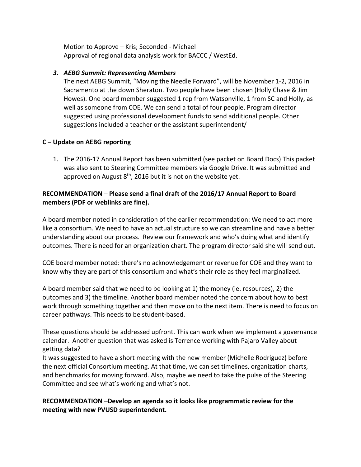Motion to Approve – Kris; Seconded - Michael Approval of regional data analysis work for BACCC / WestEd.

## *3. AEBG Summit: Representing Members*

The next AEBG Summit, "Moving the Needle Forward", will be November 1-2, 2016 in Sacramento at the down Sheraton. Two people have been chosen (Holly Chase & Jim Howes). One board member suggested 1 rep from Watsonville, 1 from SC and Holly, as well as someone from COE. We can send a total of four people. Program director suggested using professional development funds to send additional people. Other suggestions included a teacher or the assistant superintendent/

## **C – Update on AEBG reporting**

1. The 2016-17 Annual Report has been submitted (see packet on Board Docs) This packet was also sent to Steering Committee members via Google Drive. It was submitted and approved on August  $8<sup>th</sup>$ , 2016 but it is not on the website yet.

## **RECOMMENDATION** – **Please send a final draft of the 2016/17 Annual Report to Board members (PDF or weblinks are fine).**

A board member noted in consideration of the earlier recommendation: We need to act more like a consortium. We need to have an actual structure so we can streamline and have a better understanding about our process. Review our framework and who's doing what and identify outcomes. There is need for an organization chart. The program director said she will send out.

COE board member noted: there's no acknowledgement or revenue for COE and they want to know why they are part of this consortium and what's their role as they feel marginalized.

A board member said that we need to be looking at 1) the money (ie. resources), 2) the outcomes and 3) the timeline. Another board member noted the concern about how to best work through something together and then move on to the next item. There is need to focus on career pathways. This needs to be student-based.

These questions should be addressed upfront. This can work when we implement a governance calendar. Another question that was asked is Terrence working with Pajaro Valley about getting data?

It was suggested to have a short meeting with the new member (Michelle Rodriguez) before the next official Consortium meeting. At that time, we can set timelines, organization charts, and benchmarks for moving forward. Also, maybe we need to take the pulse of the Steering Committee and see what's working and what's not.

**RECOMMENDATION** –**Develop an agenda so it looks like programmatic review for the meeting with new PVUSD superintendent.**